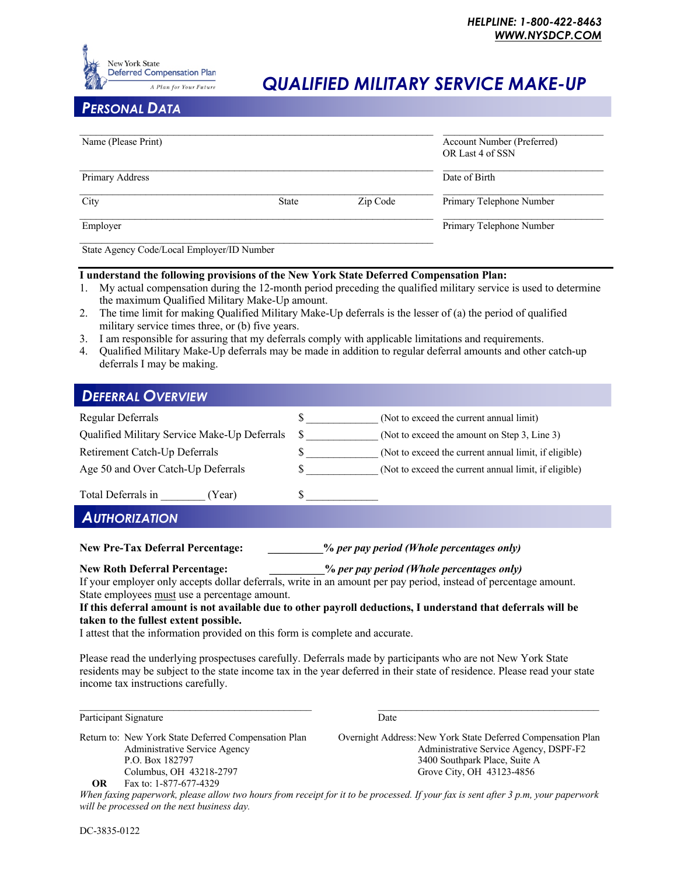

## *QUALIFIED MILITARY SERVICE MAKE-UP*

### *PERSONAL DATA*

| Date of Birth |                                                      |
|---------------|------------------------------------------------------|
| Zip Code      |                                                      |
|               |                                                      |
|               | Primary Telephone Number<br>Primary Telephone Number |

#### **I understand the following provisions of the New York State Deferred Compensation Plan:**

- 1. My actual compensation during the 12-month period preceding the qualified military service is used to determine the maximum Qualified Military Make-Up amount.
- 2. The time limit for making Qualified Military Make-Up deferrals is the lesser of (a) the period of qualified military service times three, or (b) five years.
- 3. I am responsible for assuring that my deferrals comply with applicable limitations and requirements.
- 4. Qualified Military Make-Up deferrals may be made in addition to regular deferral amounts and other catch-up deferrals I may be making.

| <b>DEFERRAL OVERVIEW</b>                     |                                                       |
|----------------------------------------------|-------------------------------------------------------|
| Regular Deferrals                            | (Not to exceed the current annual limit)<br>S         |
| Qualified Military Service Make-Up Deferrals | S<br>(Not to exceed the amount on Step 3, Line 3)     |
| Retirement Catch-Up Deferrals                | (Not to exceed the current annual limit, if eligible) |
| Age 50 and Over Catch-Up Deferrals           | (Not to exceed the current annual limit, if eligible) |
| Total Deferrals in<br>(Year)                 |                                                       |
| <b>AUTHORIZATION</b>                         |                                                       |

## **New Pre-Tax Deferral Percentage: \_\_\_\_\_\_\_\_\_\_%** *per pay period (Whole percentages only)*

**New Roth Deferral Percentage: \_\_\_\_\_\_\_\_\_\_%** *per pay period (Whole percentages only)*

If your employer only accepts dollar deferrals, write in an amount per pay period, instead of percentage amount. State employees must use a percentage amount.

#### **If this deferral amount is not available due to other payroll deductions, I understand that deferrals will be taken to the fullest extent possible.**

I attest that the information provided on this form is complete and accurate.

Please read the underlying prospectuses carefully. Deferrals made by participants who are not New York State residents may be subject to the state income tax in the year deferred in their state of residence. Please read your state income tax instructions carefully.

 $\mathcal{L}_\mathcal{L} = \{ \mathcal{L}_\mathcal{L} = \{ \mathcal{L}_\mathcal{L} = \{ \mathcal{L}_\mathcal{L} = \{ \mathcal{L}_\mathcal{L} = \{ \mathcal{L}_\mathcal{L} = \{ \mathcal{L}_\mathcal{L} = \{ \mathcal{L}_\mathcal{L} = \{ \mathcal{L}_\mathcal{L} = \{ \mathcal{L}_\mathcal{L} = \{ \mathcal{L}_\mathcal{L} = \{ \mathcal{L}_\mathcal{L} = \{ \mathcal{L}_\mathcal{L} = \{ \mathcal{L}_\mathcal{L} = \{ \mathcal{L}_\mathcal{$ 

Participant Signature Date

Columbus, OH 43218-2797 Grove City, OH 43123-4856<br> **OR** Fax to: 1-877-677-4329  **OR** Fax to: 1-877-677-4329

Return to: New York State Deferred Compensation Plan Overnight Address: New York State Deferred Compensation Plan Administrative Service Agency Administrative Service Agency, DSPF-F2 P.O. Box 182797 3400 Southpark Place, Suite A

*When faxing paperwork, please allow two hours from receipt for it to be processed. If your fax is sent after 3 p.m, your paperwork will be processed on the next business day.*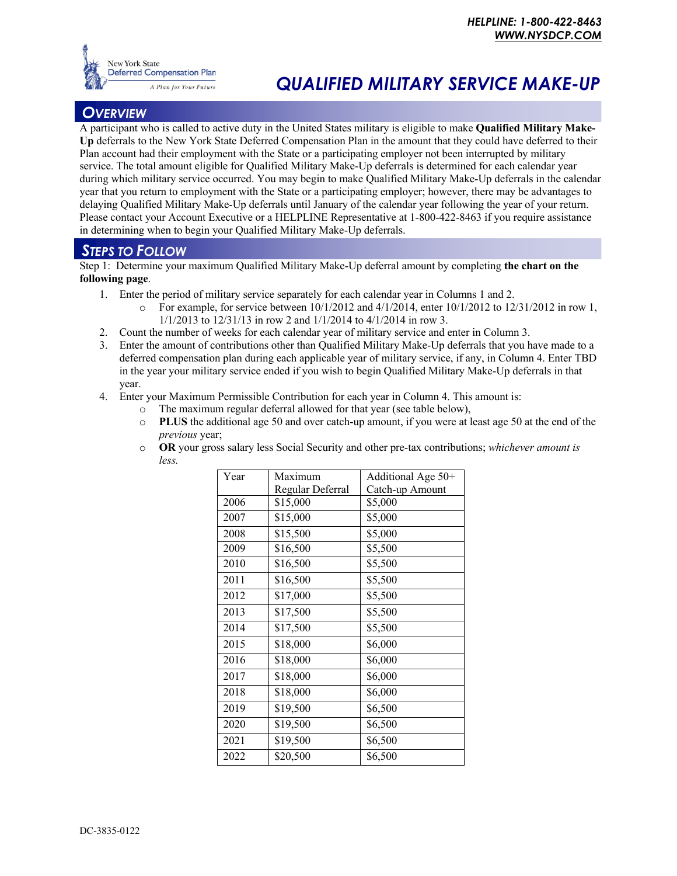

# **Deferred Compensation Plan**<br>A Plan for Your Future **QUALIFIED MILITARY SERVICE MAKE-UP**

## *OVERVIEW*

A participant who is called to active duty in the United States military is eligible to make **Qualified Military Make-Up** deferrals to the New York State Deferred Compensation Plan in the amount that they could have deferred to their Plan account had their employment with the State or a participating employer not been interrupted by military service. The total amount eligible for Qualified Military Make-Up deferrals is determined for each calendar year during which military service occurred. You may begin to make Qualified Military Make-Up deferrals in the calendar year that you return to employment with the State or a participating employer; however, there may be advantages to delaying Qualified Military Make-Up deferrals until January of the calendar year following the year of your return. Please contact your Account Executive or a HELPLINE Representative at 1-800-422-8463 if you require assistance in determining when to begin your Qualified Military Make-Up deferrals.

## *STEPS TO FOLLOW*

Step 1: Determine your maximum Qualified Military Make-Up deferral amount by completing **the chart on the following page**.

- 1. Enter the period of military service separately for each calendar year in Columns 1 and 2.
	- $\circ$  For example, for service between 10/1/2012 and 4/1/2014, enter 10/1/2012 to 12/31/2012 in row 1, 1/1/2013 to 12/31/13 in row 2 and 1/1/2014 to 4/1/2014 in row 3.
- 2. Count the number of weeks for each calendar year of military service and enter in Column 3.
- 3. Enter the amount of contributions other than Qualified Military Make-Up deferrals that you have made to a deferred compensation plan during each applicable year of military service, if any, in Column 4. Enter TBD in the year your military service ended if you wish to begin Qualified Military Make-Up deferrals in that year.
- 4. Enter your Maximum Permissible Contribution for each year in Column 4. This amount is:
	- o The maximum regular deferral allowed for that year (see table below),
	- o **PLUS** the additional age 50 and over catch-up amount, if you were at least age 50 at the end of the *previous* year;
	- o **OR** your gross salary less Social Security and other pre-tax contributions; *whichever amount is less.*

| Year | Maximum          | Additional Age 50+ |
|------|------------------|--------------------|
|      | Regular Deferral | Catch-up Amount    |
| 2006 | \$15,000         | \$5,000            |
| 2007 | \$15,000         | \$5,000            |
| 2008 | \$15,500         | \$5,000            |
| 2009 | \$16,500         | \$5,500            |
| 2010 | \$16,500         | \$5,500            |
| 2011 | \$16,500         | \$5,500            |
| 2012 | \$17,000         | \$5,500            |
| 2013 | \$17,500         | \$5,500            |
| 2014 | \$17,500         | \$5,500            |
| 2015 | \$18,000         | \$6,000            |
| 2016 | \$18,000         | \$6,000            |
| 2017 | \$18,000         | \$6,000            |
| 2018 | \$18,000         | \$6,000            |
| 2019 | \$19,500         | \$6,500            |
| 2020 | \$19,500         | \$6,500            |
| 2021 | \$19,500         | \$6,500            |
| 2022 | \$20,500         | \$6,500            |